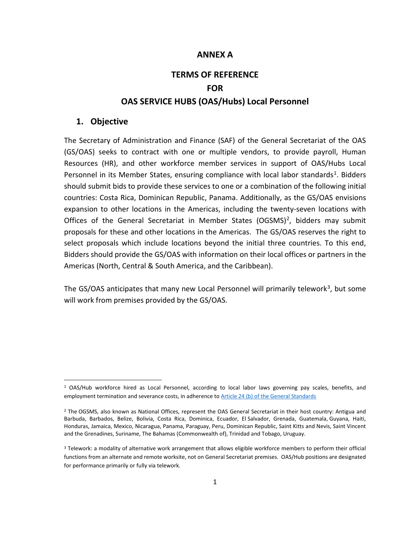#### **ANNEX A**

# **TERMS OF REFERENCE FOR OAS SERVICE HUBS (OAS/Hubs) Local Personnel**

#### **1. Objective**

The Secretary of Administration and Finance (SAF) of the General Secretariat of the OAS (GS/OAS) seeks to contract with one or multiple vendors, to provide payroll, Human Resources (HR), and other workforce member services in support of OAS/Hubs Local Personnel in its Member States, ensuring compliance with local labor standards<sup>1</sup>. Bidders should submit bids to provide these services to one or a combination of the following initial countries: Costa Rica, Dominican Republic, Panama. Additionally, as the GS/OAS envisions expansion to other locations in the Americas, including the twenty-seven locations with Offices of the General Secretariat in Member States (OGSMS)<sup>[2](#page-0-1)</sup>, bidders may submit proposals for these and other locations in the Americas. The GS/OAS reserves the right to select proposals which include locations beyond the initial three countries. To this end, Bidders should provide the GS/OAS with information on their local offices or partners in the Americas (North, Central & South America, and the Caribbean).

The GS/OAS anticipates that many new Local Personnel will primarily telework<sup>[3](#page-0-2)</sup>, but some will work from premises provided by the GS/OAS.

<span id="page-0-0"></span><sup>1</sup> OAS/Hub workforce hired as Local Personnel, according to local labor laws governing pay scales, benefits, and employment termination and severance costs, in adherence to [Article 24 \(b\) of the General Standards](http://www.oas.org/legal/english/Standards/GenStandCapIII.htm)

<span id="page-0-1"></span><sup>2</sup> The OGSMS, also known as National Offices, represent the OAS General Secretariat in their host country: Antigua and Barbuda, Barbados, Belize, Bolivia, Costa Rica, Dominica, Ecuador, El Salvador, Grenada, Guatemala, Guyana, Haiti, Honduras, Jamaica, Mexico, Nicaragua, Panama, Paraguay, Peru, Dominican Republic, Saint Kitts and Nevis, Saint Vincent and the Grenadines, Suriname, The Bahamas (Commonwealth of), Trinidad and Tobago, Uruguay.

<span id="page-0-2"></span><sup>3</sup> Telework: a modality of alternative work arrangement that allows eligible workforce members to perform their official functions from an alternate and remote worksite, not on General Secretariat premises. OAS/Hub positions are designated for performance primarily or fully via telework.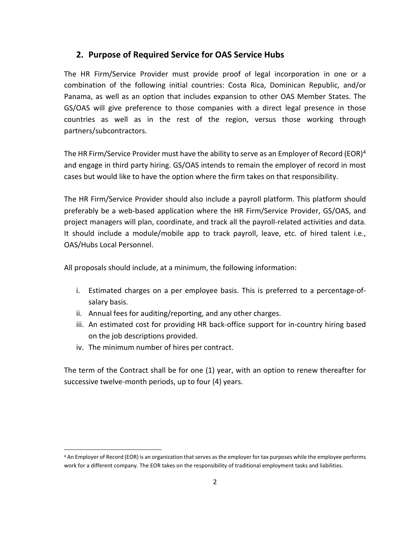### **2. Purpose of Required Service for OAS Service Hubs**

The HR Firm/Service Provider must provide proof of legal incorporation in one or a combination of the following initial countries: Costa Rica, Dominican Republic, and/or Panama, as well as an option that includes expansion to other OAS Member States. The GS/OAS will give preference to those companies with a direct legal presence in those countries as well as in the rest of the region, versus those working through partners/subcontractors.

The HR Firm/Service Provider must have the ability to serve as an Employer of Record (EOR)<sup>[4](#page-1-0)</sup> and engage in third party hiring. GS/OAS intends to remain the employer of record in most cases but would like to have the option where the firm takes on that responsibility.

The HR Firm/Service Provider should also include a payroll platform. This platform should preferably be a web-based application where the HR Firm/Service Provider, GS/OAS, and project managers will plan, coordinate, and track all the payroll-related activities and data. It should include a module/mobile app to track payroll, leave, etc. of hired talent i.e., OAS/Hubs Local Personnel.

All proposals should include, at a minimum, the following information:

- i. Estimated charges on a per employee basis. This is preferred to a percentage-ofsalary basis.
- ii. Annual fees for auditing/reporting, and any other charges.
- iii. An estimated cost for providing HR back-office support for in-country hiring based on the job descriptions provided.
- iv. The minimum number of hires per contract.

The term of the Contract shall be for one (1) year, with an option to renew thereafter for successive twelve-month periods, up to four (4) years.

<span id="page-1-0"></span><sup>4</sup> An Employer of Record (EOR) is an organization that serves as the employer for tax purposes while the employee performs work for a different company. The EOR takes on the responsibility of traditional employment tasks and liabilities.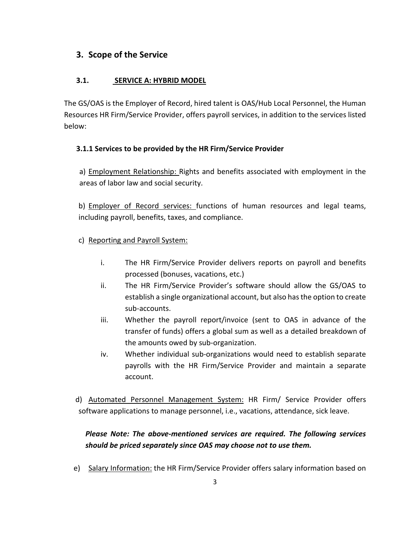## **3. Scope of the Service**

#### **3.1. SERVICE A: HYBRID MODEL**

The GS/OAS is the Employer of Record, hired talent is OAS/Hub Local Personnel, the Human Resources HR Firm/Service Provider, offers payroll services, in addition to the services listed below:

#### **3.1.1 Services to be provided by the HR Firm/Service Provider**

a) Employment Relationship: Rights and benefits associated with employment in the areas of labor law and social security.

b) Employer of Record services: functions of human resources and legal teams, including payroll, benefits, taxes, and compliance.

#### c) Reporting and Payroll System:

- i. The HR Firm/Service Provider delivers reports on payroll and benefits processed (bonuses, vacations, etc.)
- ii. The HR Firm/Service Provider's software should allow the GS/OAS to establish a single organizational account, but also has the option to create sub-accounts.
- iii. Whether the payroll report/invoice (sent to OAS in advance of the transfer of funds) offers a global sum as well as a detailed breakdown of the amounts owed by sub-organization.
- iv. Whether individual sub-organizations would need to establish separate payrolls with the HR Firm/Service Provider and maintain a separate account.

d) Automated Personnel Management System: HR Firm/ Service Provider offers software applications to manage personnel, i.e., vacations, attendance, sick leave.

## *Please Note: The above-mentioned services are required. The following services should be priced separately since OAS may choose not to use them.*

e) Salary Information: the HR Firm/Service Provider offers salary information based on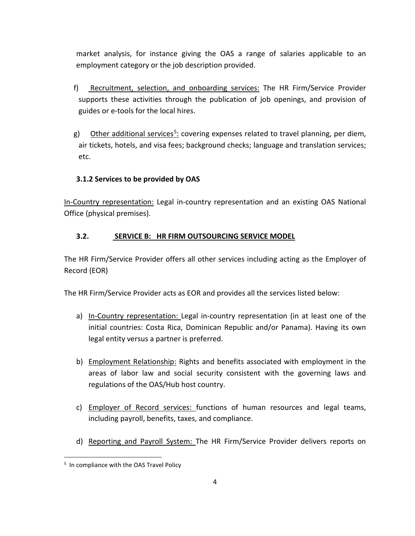market analysis, for instance giving the OAS a range of salaries applicable to an employment category or the job description provided.

- f) Recruitment, selection, and onboarding services: The HR Firm/Service Provider supports these activities through the publication of job openings, and provision of guides or e-tools for the local hires.
- g) Other additional services<sup>5</sup>: covering expenses related to travel planning, per diem, air tickets, hotels, and visa fees; background checks; language and translation services; etc.

### **3.1.2 Services to be provided by OAS**

In-Country representation: Legal in-country representation and an existing OAS National Office (physical premises).

### **3.2. SERVICE B: HR FIRM OUTSOURCING SERVICE MODEL**

The HR Firm/Service Provider offers all other services including acting as the Employer of Record (EOR)

The HR Firm/Service Provider acts as EOR and provides all the services listed below:

- a) In-Country representation: Legal in-country representation (in at least one of the initial countries: Costa Rica, Dominican Republic and/or Panama). Having its own legal entity versus a partner is preferred.
- b) Employment Relationship: Rights and benefits associated with employment in the areas of labor law and social security consistent with the governing laws and regulations of the OAS/Hub host country.
- c) Employer of Record services: functions of human resources and legal teams, including payroll, benefits, taxes, and compliance.
- d) Reporting and Payroll System: The HR Firm/Service Provider delivers reports on

<span id="page-3-0"></span><sup>&</sup>lt;sup>5</sup> In compliance with the OAS Travel Policy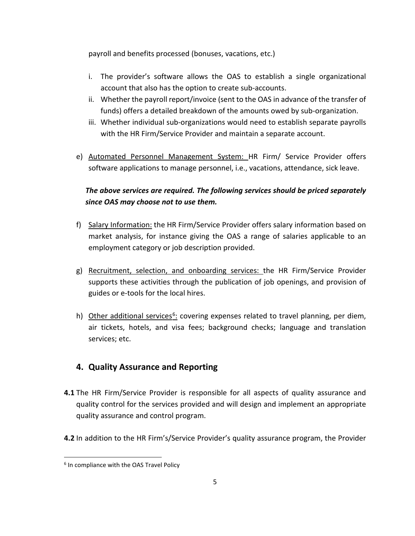payroll and benefits processed (bonuses, vacations, etc.)

- i. The provider's software allows the OAS to establish a single organizational account that also has the option to create sub-accounts.
- ii. Whether the payroll report/invoice (sent to the OAS in advance of the transfer of funds) offers a detailed breakdown of the amounts owed by sub-organization.
- iii. Whether individual sub-organizations would need to establish separate payrolls with the HR Firm/Service Provider and maintain a separate account.
- e) Automated Personnel Management System: HR Firm/ Service Provider offers software applications to manage personnel, i.e., vacations, attendance, sick leave.

### *The above services are required. The following services should be priced separately since OAS may choose not to use them.*

- f) Salary Information: the HR Firm/Service Provider offers salary information based on market analysis, for instance giving the OAS a range of salaries applicable to an employment category or job description provided.
- g) Recruitment, selection, and onboarding services: the HR Firm/Service Provider supports these activities through the publication of job openings, and provision of guides or e-tools for the local hires.
- h) Other additional services<sup>6</sup>: covering expenses related to travel planning, per diem, air tickets, hotels, and visa fees; background checks; language and translation services; etc.

### **4. Quality Assurance and Reporting**

- **4.1** The HR Firm/Service Provider is responsible for all aspects of quality assurance and quality control for the services provided and will design and implement an appropriate quality assurance and control program.
- **4.2** In addition to the HR Firm's/Service Provider's quality assurance program, the Provider

<span id="page-4-0"></span><sup>&</sup>lt;sup>6</sup> In compliance with the OAS Travel Policy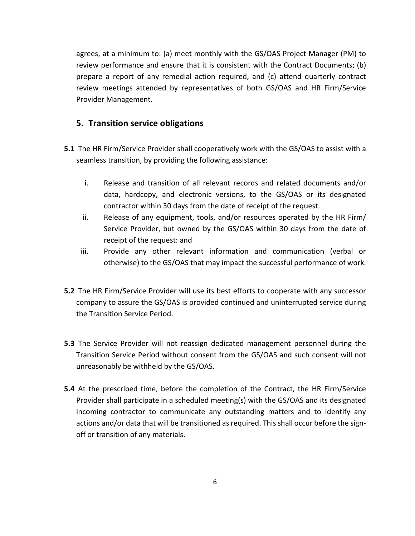agrees, at a minimum to: (a) meet monthly with the GS/OAS Project Manager (PM) to review performance and ensure that it is consistent with the Contract Documents; (b) prepare a report of any remedial action required, and (c) attend quarterly contract review meetings attended by representatives of both GS/OAS and HR Firm/Service Provider Management.

#### **5. Transition service obligations**

- **5.1** The HR Firm/Service Provider shall cooperatively work with the GS/OAS to assist with a seamless transition, by providing the following assistance:
	- i. Release and transition of all relevant records and related documents and/or data, hardcopy, and electronic versions, to the GS/OAS or its designated contractor within 30 days from the date of receipt of the request.
	- ii. Release of any equipment, tools, and/or resources operated by the HR Firm/ Service Provider, but owned by the GS/OAS within 30 days from the date of receipt of the request: and
	- iii. Provide any other relevant information and communication (verbal or otherwise) to the GS/OAS that may impact the successful performance of work.
- **5.2** The HR Firm/Service Provider will use its best efforts to cooperate with any successor company to assure the GS/OAS is provided continued and uninterrupted service during the Transition Service Period.
- **5.3** The Service Provider will not reassign dedicated management personnel during the Transition Service Period without consent from the GS/OAS and such consent will not unreasonably be withheld by the GS/OAS.
- **5.4** At the prescribed time, before the completion of the Contract, the HR Firm/Service Provider shall participate in a scheduled meeting(s) with the GS/OAS and its designated incoming contractor to communicate any outstanding matters and to identify any actions and/or data that will be transitioned as required. This shall occur before the signoff or transition of any materials.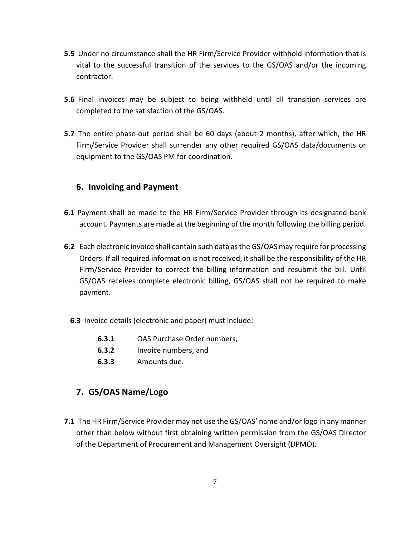- **5.5** Under no circumstance shall the HR Firm/Service Provider withhold information that is vital to the successful transition of the services to the GS/OAS and/or the incoming contractor.
- **5.6** Final invoices may be subject to being withheld until all transition services are completed to the satisfaction of the GS/OAS.
- **5.7** The entire phase-out period shall be 60 days (about 2 months), after which, the HR Firm/Service Provider shall surrender any other required GS/OAS data/documents or equipment to the GS/OAS PM for coordination.

### **6. Invoicing and Payment**

- **6.1** Payment shall be made to the HR Firm/Service Provider through its designated bank account. Payments are made at the beginning of the month following the billing period.
- **6.2** Each electronic invoice shall contain such data as the GS/OAS may require for processing Orders. If all required information is not received, it shall be the responsibility of the HR Firm/Service Provider to correct the billing information and resubmit the bill. Until GS/OAS receives complete electronic billing, GS/OAS shall not be required to make payment.
	- **6.3** Invoice details (electronic and paper) must include:
		- **6.3.1** OAS Purchase Order numbers,
		- **6.3.2** Invoice numbers, and
		- **6.3.3** Amounts due.

# **7. GS/OAS Name/Logo**

**7.1** The HR Firm/Service Provider may not use the GS/OAS' name and/or logo in any manner other than below without first obtaining written permission from the GS/OAS Director of the Department of Procurement and Management Oversight (DPMO).